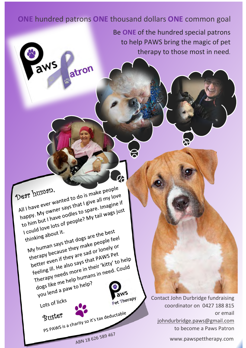## **ONE** hundred patrons **ONE** thousand dollars **ONE** common goal

2

Be **ONE** of the hundred special patrons to help PAWS bring the magic of pet therapy to those most in need.

Dear human.<br>All I have ever wanted to do is make people<br>All I have ever wanted to do is make people Deze human. Dear humallows to do is make people<br>All I have ever wanted to do is make people<br>happy. My owner says that I give all my love<br>happy. My owner says that I give all my love<br>happy. My owner says that I give all mags just Note to the says that I give all my love<br>all I have ever wanted to go is the all my love<br>happy. My owner says that I give all my love<br>happy. My owner says that I give all wags just<br>to him but I have oodles? My tail wags ju Il I have ever that the unique to spare. Imagine to the nappy. My owner says that to spare. Imagine to the nappy.<br>The nappy. My owner odles to spare. Imagis just<br>to him but I have oddes to spare. My tail wags just could love lots of the best<br>thinking about it.<br>My human says that dogs are the best<br>My human says that dogs are the people feed I could love to the local distribution. hinking about it.<br>My human says that dogs are the people feel<br>therapy because they make people feel<br>therapy because they are sad or lonely or<br>therapy because they are sad or lonely or W human says that use they make people to the window of the people to the window of the people to the window of the sad or lonely of the sad or lonely of the sad or lonely to better even if they are in their 'kitty' to the Therapy because they are sad or lonely<br>therapy because they are sad or lonely of<br>better even if they are sad or lonely to<br>feeling ill. He also says that PAWS Pet<br>feeling ill. He also says that is "kitty" to nerapy becausined are sauding the pays pet<br>better even if they are says that PAWS Pet<br>feeling ill. He also says that "kitty" to help<br>feeling ill. He also more in their "kitty" to help<br>Therapy needs more in their "kitty" to etter even. He also says their 'kitty' to help<br>eeling ill. He also says in their 'kitty' to help<br>Therapy needs more in their 'kitty' to help.<br>dogs like me help humans in need. Could dogs like me help num<br>dogs like me help num<br>you lend a paw to help? Pet Therapy Lots of licks Buster PS PAWS is a charity so it's tax deductable Buster ABN 18 626 589 467

aws

atron

Contact John Durbridge fundraising coordinator on 0427 188 815 or email [johndurbridge.paws@gmail.com](mailto:johndurbridge.paws@gmail.com) to become a Paws Patron

www.pawspettherapy.com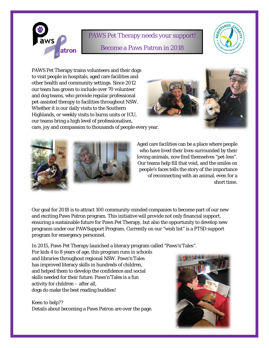

## PAWS Pet Therapy needs your support! Become a Paws Patron in 2018



PAWS Pet Therapy trains volunteers and their dogs to visit people in hospitals, aged care facilities and other health and community settings. Since 2012 our team has grown to include over 70 volunteer and dog teams, who provide regular professional pet-assisted therapy to facilities throughout NSW. Whether it is our daily visits to the Southern Highlands, or weekly visits to burns units or ICU, our teams bring a high level of professionalism,



care, joy and compassion to thousands of people every year.



Aged care facilities can be a place where people who have lived their lives surrounded by their loving animals, now find themselves "pet-less". Our teams help fill that void, and the smiles on people's faces tells the story of the importance of reconnecting with an animal, even for a short time.

Our goal for 2018 is to attract 100 community-minded companies to become part of our new and exciting Paws Patron program. This initiative will provide not only financial support, ensuring a sustainable future for Paws Pet Therapy, but also the opportunity to develop new programs under our PAWSupport Program. Currently on our "wish list" is a PTSD support program for emergency personnel.

In 2015, Paws Pet Therapy launched a literacy program called "Paws'n'Tales".

For kids 4 to 8 years of age, this program runs in schools and libraries throughout regional NSW. Paws'n'Tales has improved literacy skills in hundreds of children, and helped them to develop the confidence and social skills needed for their future. Paws'n'Tales is a fun activity for children – after all, dogs do make the best reading buddies!

Keen to help?? Details about becoming a Paws Patron are over the page.